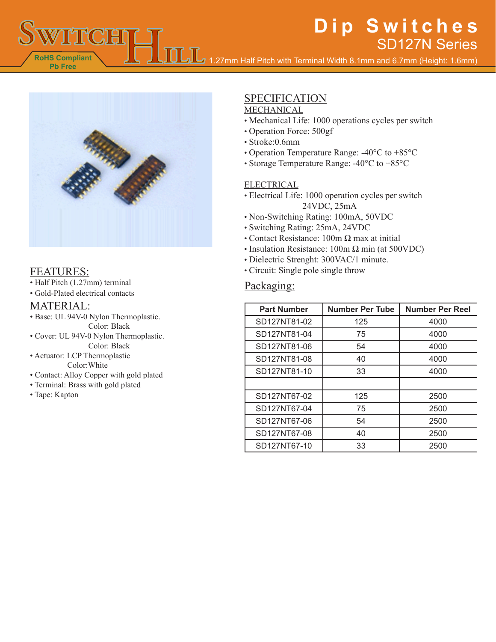# **Dip Switches** SD127N Series

1.27mm Half Pitch with Terminal Width 8.1mm and 6.7mm (Height: 1.6mm)



**RoHS Compliant Pb Free**

**TOTH** 

• Half Pitch (1.27mm) terminal

• Gold-Plated electrical contacts

### MATERIAL:

- Base: UL 94V-0 Nylon Thermoplastic. Color: Black
- Cover: UL 94V-0 Nylon Thermoplastic. Color: Black
- Actuator: LCP Thermoplastic Color:White
- Contact: Alloy Copper with gold plated
- Terminal: Brass with gold plated
- Tape: Kapton

# SPECIFICATION

### MECHANICAL

- Mechanical Life: 1000 operations cycles per switch
- Operation Force: 500gf
- Stroke:0.6mm
- Operation Temperature Range: -40°C to +85°C
- Storage Temperature Range: -40°C to +85°C

#### ELECTRICAL

- Electrical Life: 1000 operation cycles per switch 24VDC, 25mA
- Non-Switching Rating: 100mA, 50VDC
- Switching Rating: 25mA, 24VDC
- Contact Resistance:  $100m \Omega$  max at initial
- Insulation Resistance:  $100m \Omega min$  (at  $500VDC$ )
- Dielectric Strenght: 300VAC/1 minute.
- FEATURES: Circuit: Single pole single throw

## Packaging:

| <b>Part Number</b> | <b>Number Per Tube</b> | <b>Number Per Reel</b> |
|--------------------|------------------------|------------------------|
| SD127NT81-02       | 125                    | 4000                   |
| SD127NT81-04       | 75                     | 4000                   |
| SD127NT81-06       | 54                     | 4000                   |
| SD127NT81-08       | 40                     | 4000                   |
| SD127NT81-10       | 33                     | 4000                   |
|                    |                        |                        |
| SD127NT67-02       | 125                    | 2500                   |
| SD127NT67-04       | 75                     | 2500                   |
| SD127NT67-06       | 54                     | 2500                   |
| SD127NT67-08       | 40                     | 2500                   |
| SD127NT67-10       | 33                     | 2500                   |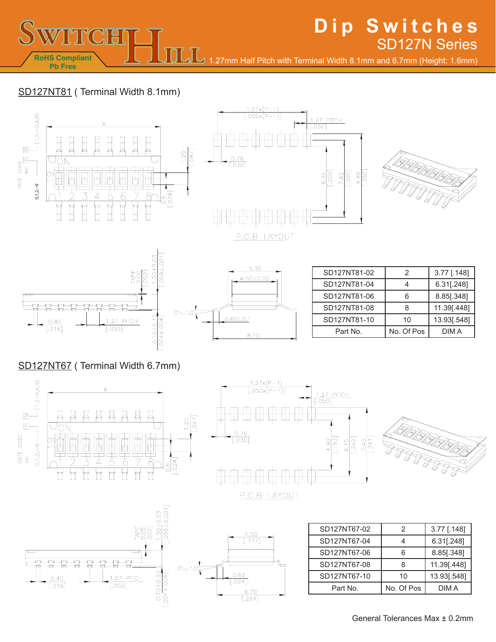SD127N Series 1.27mm Half Pitch with Terminal Width 8.1mm and 6.7mm (Height: 1.6mm)

**Dip Switches**

## SD127NT81 ( Terminal Width 8.1mm)

**RoHS Compliant Pb Free**